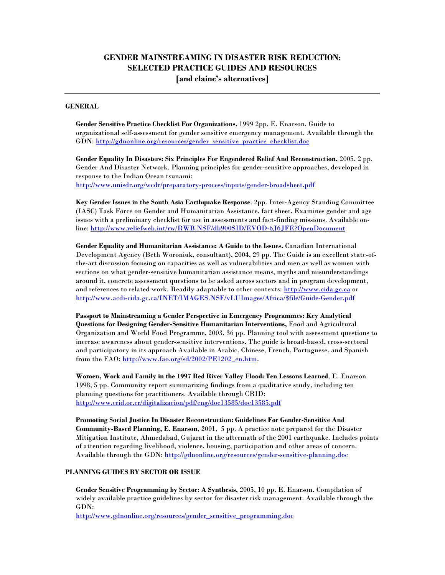# **GENDER MAINSTREAMING IN DISASTER RISK REDUCTION: SELECTED PRACTICE GUIDES AND RESOURCES [and elaine's alternatives]**

#### **GENERAL**

**Gender Sensitive Practice Checklist For Organizations,** 1999 2pp. E. Enarson. Guide to organizational self-assessment for gender sensitive emergency management. Available through the GDN: [http://gdnonline.org/resources/gender\\_sensitive\\_practice\\_checklist.doc](http://gdnonline.org/resources/gender_sensitive_practice_checklist.doc)

**Gender Equality In Disasters: Six Principles For Engendered Relief And Reconstruction,** 2005, 2 pp. Gender And Disaster Network. Planning principles for gender-sensitive approaches, developed in response to the Indian Ocean tsunami: <http://www.unisdr.org/wcdr/preparatory-process/inputs/gender-broadsheet.pdf>

**Key Gender Issues in the South Asia Earthquake Response**, 2pp. Inter-Agency Standing Committee (IASC) Task Force on Gender and Humanitarian Assistance, fact sheet. Examines gender and age issues with a preliminary checklist for use in assessments and fact-finding missions. Available online: http://www.reliefweb.int/rw/RWB.NSF/db900SID/EVOD-6J6JFE?OpenDocument

**Gender Equality and Humanitarian Assistance: A Guide to the Issues.** Canadian International Development Agency (Beth Woroniuk, consultant), 2004, 29 pp. The Guide is an excellent state-ofthe-art discussion focusing on capacities as well as vulnerabilities and men as well as women with sections on what gender-sensitive humanitarian assistance means, myths and misunderstandings around it, concrete assessment questions to be asked across sectors and in program development, and references to related work. Readily adaptable to other contexts[: http://www.cida.gc.ca](http://www.cida.gc.ca/) or [http://www.acdi-cida.gc.ca/INET/IMAGES.NSF/vLUImages/Africa/\\$file/Guide-Gender.pdf](http://www.acdi-cida.gc.ca/INET/IMAGES.NSF/vLUImages/Africa/$file/Guide-Gender.pdf)

**Passport to Mainstreaming a Gender Perspective in Emergency Programmes: Key Analytical Questions for Designing Gender-Sensitive Humanitarian Interventions,** Food and Agricultural Organization and World Food Programme, 2003, 36 pp. Planning tool with assessment questions to increase awareness about gender-sensitive interventions. The guide is broad-based, cross-sectoral and participatory in its approach Available in Arabic, Chinese, French, Portuguese, and Spanish from the FAO[: http://www.fao.org/sd/2002/PE1202\\_en.htm.](http://www.fao.org/sd/2002/PE1202_en.htm)

**Women, Work and Family in the 1997 Red River Valley Flood: Ten Lessons Learned**, E. Enarson 1998, 5 pp. Community report summarizing findings from a qualitative study, including ten planning questions for practitioners. Available through CRID: <http://www.crid.or.cr/digitalizacion/pdf/eng/doc13585/doc13585.pdf>

**Promoting Social Justice In Disaster Reconstruction: Guidelines For Gender-Sensitive And Community-Based Planning, E. Enarson,** 2001, 5 pp. A practice note prepared for the Disaster Mitigation Institute, Ahmedabad, Gujarat in the aftermath of the 2001 earthquake. Includes points of attention regarding livelihood, violence, housing, participation and other areas of concern. Available through the GDN[: http://gdnonline.org/resources/gender-sensitive-planning.doc](http://gdnonline.org/resources/gender-sensitive-planning.doc)

### **PLANNING GUIDES BY SECTOR OR ISSUE**

**Gender Sensitive Programming by Sector: A Synthesis,** 2005, 10 pp. E. Enarson. Compilation of widely available practice guidelines by sector for disaster risk management. Available through the GDN:

[http://www.gdnonline.org/resources/gender\\_sensitive\\_programming.doc](http://www.gdnonline.org/resources/gender_sensitive_programming.doc)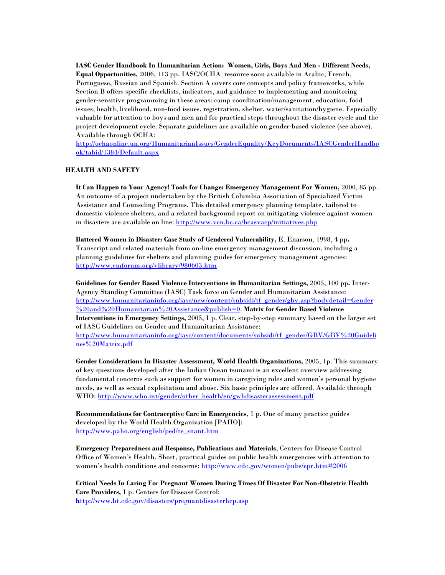**IASC Gender Handbook In Humanitarian Action: Women, Girls, Boys And Men - Different Needs, Equal Opportunities***,* 2006, 113 pp. IASC/OCHA resource soon available in Arabic, French, Portuguese, Russian and Spanish. Section A covers core concepts and policy frameworks, while Section B offers specific checklists, indicators, and guidance to implementing and monitoring gender-sensitive programming in these areas: camp coordination/management, education, food issues, health, livelihood, non-food issues, registration, shelter, water/sanitation/hygiene. Especially valuable for attention to boys and men and for practical steps throughout the disaster cycle and the project development cycle. Separate guidelines are available on gender-based violence (see above). Available through OCHA:

[http://ochaonline.un.org/HumanitarianIssues/GenderEquality/KeyDocuments/IASCGenderHandbo](http://ochaonline.un.org/HumanitarianIssues/GenderEquality/KeyDocuments/IASCGenderHandbook/tabid/1384/Default.aspx) [ok/tabid/1384/Default.aspx](http://ochaonline.un.org/HumanitarianIssues/GenderEquality/KeyDocuments/IASCGenderHandbook/tabid/1384/Default.aspx)

### **HEALTH AND SAFETY**

**It Can Happen to Your Agency! Tools for Change: Emergency Management For Women,** 2000, 85 pp. An outcome of a project undertaken by the British Columbia Association of Specialized Victim Assistance and Counseling Programs. This detailed emergency planning template, tailored to domestic violence shelters, and a related background report on mitigating violence against women in disasters are available on line:<http://www.vcn.bc.ca/bcasvacp/initiatives.php>

**Battered Women in Disaster: Case Study of Gendered Vulnerability,** E. Enarson, 1998, 4 pp**.**  Transcript and related materials from on-line emergency management discussion, including a planning guidelines for shelters and planning guides for emergency management agencies: <http://www.emforum.org/vlibrary/980603.htm>

**Guidelines for Gender Based Violence Interventions in Humanitarian Settings,** 2005, 100 pp**.** Inter-Agency Standing Committee (IASC) Task force on Gender and Humanitarian Assistance: [http://www.humanitarianinfo.org/iasc/new/content/subsidi/tf\\_gender/gbv.asp?bodydetail=Gender](http://www.humanitarianinfo.org/iasc/new/content/subsidi/tf_gender/gbv.asp?bodydetail=Gender%20and%20Humanitarian%20Assistance&publish=0) [%20and%20Humanitarian%20Assistance&publish=0.](http://www.humanitarianinfo.org/iasc/new/content/subsidi/tf_gender/gbv.asp?bodydetail=Gender%20and%20Humanitarian%20Assistance&publish=0) **Matrix for Gender Based Violence Interventions in Emergency Settings,** 2005, 1 p. Clear, step-by-step summary based on the larger set of IASC Guidelines on Gender and Humanitarian Assistance: [http://www.humanitarianinfo.org/iasc/content/documents/subsidi/tf\\_gender/GBV/GBV%20Guideli](http://www.humanitarianinfo.org/iasc/content/documents/subsidi/tf_gender/GBV/GBV%20Guidelines%20Matrix.pdf) [nes%20Matrix.pdf](http://www.humanitarianinfo.org/iasc/content/documents/subsidi/tf_gender/GBV/GBV%20Guidelines%20Matrix.pdf)

**Gender Considerations In Disaster Assessment, World Health Organizations,** 2005, 1p. This summary of key questions developed after the Indian Ocean tsunami is an excellent overview addressing fundamental concerns such as support for women in caregiving roles and women's personal hygiene needs, as well as sexual exploitation and abuse. Six basic principles are offered. Available through WHO: [http://www.who.int/gender/other\\_health/en/gwhdisasterassessment.pdf](http://www.who.int/gender/other_health/en/gwhdisasterassessment.pdf)

**Recommendations for Contraceptive Care in Emergencies**, 1 p. One of many practice guides developed by the World Health Organization [PAHO]: [http://www.paho.org/english/ped/te\\_snant.htm](http://www.paho.org/english/ped/te_snant.htm)

**Emergency Preparedness and Response, Publications and Materials**, Centers for Disease Control Office of Women's Health. Short, practical guides on public health emergencies with attention to women's health conditions and concerns: <http://www.cdc.gov/women/pubs/epr.htm#2006>

**Critical Needs In Caring For Pregnant Women During Times Of Disaster For Non-Obstetric Health Care Providers,** 1 p. Centers for Disease Control: **h**ttp://www.bt.cdc.gov/disasters/pregnantdisasterhcp.asp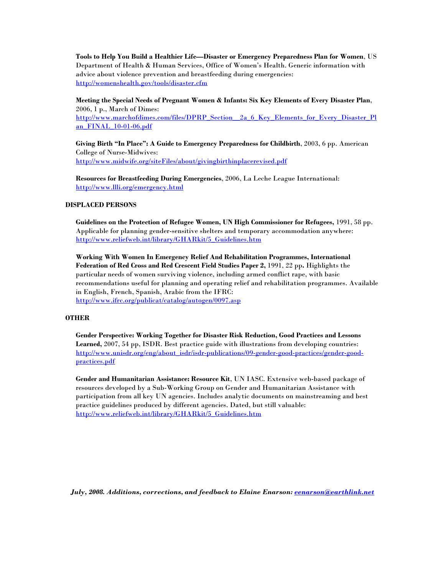**Tools to Help You Build a Healthier Life—Disaster or Emergency Preparedness Plan for Women**, US Department of Health & Human Services, Office of Women's Health. Generic information with advice about violence prevention and breastfeeding during emergencies: <http://womenshealth.gov/tools/disaster.cfm>

**Meeting the Special Needs of Pregnant Women & Infants: Six Key Elements of Every Disaster Plan**, 2006, 1 p., March of Dimes: http://www.marchofdimes.com/files/DPRP\_Section\_2a\_6\_Key\_Elements\_for\_Every\_Disaster\_Pl an\_FINAL\_10-01-06.pdf

**Giving Birth "In Place": A Guide to Emergency Preparedness for Childbirth**, 2003, 6 pp. American College of Nurse-Midwives: <http://www.midwife.org/siteFiles/about/givingbirthinplacerevised.pdf>

**Resources for Breastfeeding During Emergencies**, 2006, La Leche League International: <http://www.llli.org/emergency.html>

## **DISPLACED PERSONS**

**Guidelines on the Protection of Refugee Women, UN High Commissioner for Refugees,** 1991, 58 pp. Applicable for planning gender-sensitive shelters and temporary accommodation anywhere: [http://www.reliefweb.int/library/GHARkit/5\\_Guidelines.htm](http://www.reliefweb.int/library/GHARkit/5_Guidelines.htm)

**Working With Women In Emergency Relief And Rehabilitation Programmes, International Federation of Red Cross and Red Crescent Field Studies Paper 2,** 1991, 22 pp**.** Highlights the particular needs of women surviving violence, including armed conflict rape, with basic recommendations useful for planning and operating relief and rehabilitation programmes. Available in English, French, Spanish, Arabic from the IFRC: <http://www.ifrc.org/publicat/catalog/autogen/0097.asp>

### **OTHER**

**Gender Perspective: Working Together for Disaster Risk Reduction, Good Practices and Lessons Learned,** 2007, 54 pp, ISDR. Best practice guide with illustrations from developing countries: [http://www.unisdr.org/eng/about\\_isdr/isdr-publications/09-gender-good-practices/gender-good](http://www.unisdr.org/eng/about_isdr/isdr-publications/09-gender-good-practices/gender-good-practices.pdf)[practices.pdf](http://www.unisdr.org/eng/about_isdr/isdr-publications/09-gender-good-practices/gender-good-practices.pdf)

**Gender and Humanitarian Assistance: Resource Kit**, UN IASC. Extensive web-based package of resources developed by a Sub-Working Group on Gender and Humanitarian Assistance with participation from all key UN agencies. Includes analytic documents on mainstreaming and best practice guidelines produced by different agencies. Dated, but still valuable: [http://www.reliefweb.int/library/GHARkit/5\\_Guidelines.htm](http://www.reliefweb.int/library/GHARkit/5_Guidelines.htm)

*July, 2008. Additions, corrections, and feedback to Elaine Enarson: [eenarson@earthlink.net](mailto:eenarson@earthlink.net)*